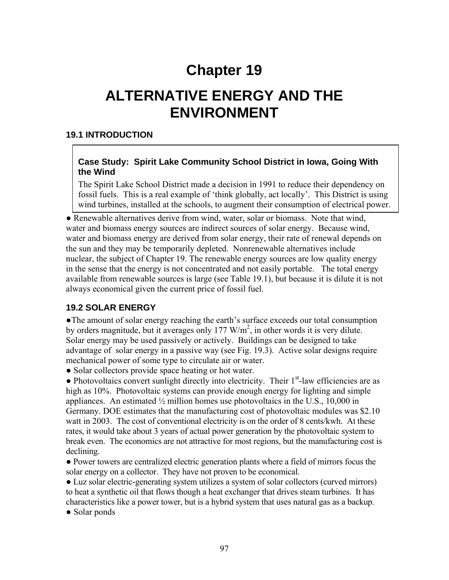# **Chapter 19**

# **ALTERNATIVE ENERGY AND THE ENVIRONMENT**

#### **19.1 INTRODUCTION**

#### **Case Study: Spirit Lake Community School District in Iowa, Going With the Wind**

The Spirit Lake School District made a decision in 1991 to reduce their dependency on fossil fuels. This is a real example of 'think globally, act locally'. This District is using wind turbines, installed at the schools, to augment their consumption of electrical power.

• Renewable alternatives derive from wind, water, solar or biomass. Note that wind, water and biomass energy sources are indirect sources of solar energy. Because wind, water and biomass energy are derived from solar energy, their rate of renewal depends on the sun and they may be temporarily depleted. Nonrenewable alternatives include nuclear, the subject of Chapter 19. The renewable energy sources are low quality energy in the sense that the energy is not concentrated and not easily portable. The total energy available from renewable sources is large (see Table 19.1), but because it is dilute it is not always economical given the current price of fossil fuel.

#### **19.2 SOLAR ENERGY**

●The amount of solar energy reaching the earth's surface exceeds our total consumption by orders magnitude, but it averages only  $177 \text{ W/m}^2$ , in other words it is very dilute. Solar energy may be used passively or actively. Buildings can be designed to take advantage of solar energy in a passive way (see Fig. 19.3). Active solar designs require mechanical power of some type to circulate air or water.

● Solar collectors provide space heating or hot water.

 $\bullet$  Photovoltaics convert sunlight directly into electricity. Their  $1<sup>st</sup>$ -law efficiencies are as high as 10%. Photovoltaic systems can provide enough energy for lighting and simple appliances. An estimated  $\frac{1}{2}$  million homes use photovoltaics in the U.S., 10,000 in Germany. DOE estimates that the manufacturing cost of photovoltaic modules was \$2.10 watt in 2003. The cost of conventional electricity is on the order of 8 cents/kwh. At these rates, it would take about 3 years of actual power generation by the photovoltaic system to break even. The economics are not attractive for most regions, but the manufacturing cost is declining.

● Power towers are centralized electric generation plants where a field of mirrors focus the solar energy on a collector. They have not proven to be economical.

• Luz solar electric-generating system utilizes a system of solar collectors (curved mirrors) to heat a synthetic oil that flows though a heat exchanger that drives steam turbines. It has characteristics like a power tower, but is a hybrid system that uses natural gas as a backup.

• Solar ponds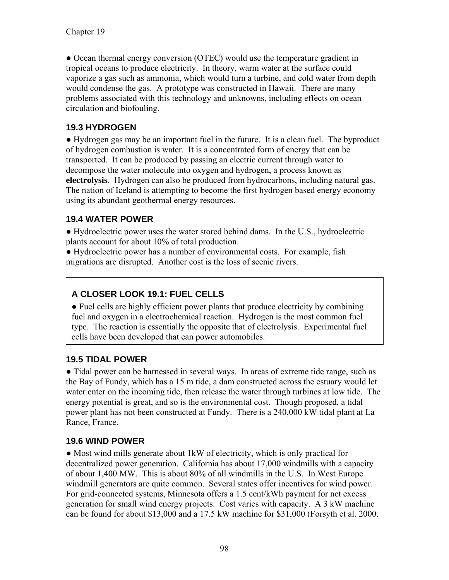● Ocean thermal energy conversion (OTEC) would use the temperature gradient in tropical oceans to produce electricity. In theory, warm water at the surface could vaporize a gas such as ammonia, which would turn a turbine, and cold water from depth would condense the gas. A prototype was constructed in Hawaii. There are many problems associated with this technology and unknowns, including effects on ocean circulation and biofouling.

### **19.3 HYDROGEN**

● Hydrogen gas may be an important fuel in the future. It is a clean fuel. The byproduct of hydrogen combustion is water. It is a concentrated form of energy that can be transported. It can be produced by passing an electric current through water to decompose the water molecule into oxygen and hydrogen, a process known as **electrolysis**. Hydrogen can also be produced from hydrocarbons, including natural gas. The nation of Iceland is attempting to become the first hydrogen based energy economy using its abundant geothermal energy resources.

### **19.4 WATER POWER**

● Hydroelectric power uses the water stored behind dams. In the U.S., hydroelectric plants account for about 10% of total production.

● Hydroelectric power has a number of environmental costs. For example, fish migrations are disrupted. Another cost is the loss of scenic rivers.

# **A CLOSER LOOK 19.1: FUEL CELLS**

● Fuel cells are highly efficient power plants that produce electricity by combining fuel and oxygen in a electrochemical reaction. Hydrogen is the most common fuel type. The reaction is essentially the opposite that of electrolysis. Experimental fuel cells have been developed that can power automobiles.

#### **19.5 TIDAL POWER**

• Tidal power can be harnessed in several ways. In areas of extreme tide range, such as the Bay of Fundy, which has a 15 m tide, a dam constructed across the estuary would let water enter on the incoming tide, then release the water through turbines at low tide. The energy potential is great, and so is the environmental cost. Though proposed, a tidal power plant has not been constructed at Fundy. There is a 240,000 kW tidal plant at La Rance, France.

#### **19.6 WIND POWER**

● Most wind mills generate about 1kW of electricity, which is only practical for decentralized power generation. California has about 17,000 windmills with a capacity of about 1,400 MW. This is about 80% of all windmills in the U.S. In West Europe windmill generators are quite common. Several states offer incentives for wind power. For grid-connected systems, Minnesota offers a 1.5 cent/kWh payment for net excess generation for small wind energy projects. Cost varies with capacity. A 3 kW machine can be found for about \$13,000 and a 17.5 kW machine for \$31,000 (Forsyth et al. 2000.